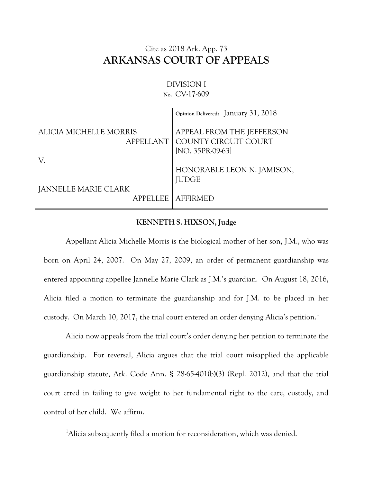## Cite as 2018 Ark. App. 73 **ARKANSAS COURT OF APPEALS**

## DIVISION I **No.** CV-17-609

|                             | Opinion Delivered: January 31, 2018                                               |
|-----------------------------|-----------------------------------------------------------------------------------|
| ALICIA MICHELLE MORRIS      | APPEAL FROM THE JEFFERSON<br>APPELLANT   COUNTY CIRCUIT COURT<br>[NO. 35PR-09-63] |
| V.                          |                                                                                   |
|                             | HONORABLE LEON N. JAMISON,<br><b>JUDGE</b>                                        |
| <b>JANNELLE MARIE CLARK</b> |                                                                                   |
|                             | <b>APPELLEE   AFFIRMED</b>                                                        |

## **KENNETH S. HIXSON, Judge**

Appellant Alicia Michelle Morris is the biological mother of her son, J.M., who was born on April 24, 2007. On May 27, 2009, an order of permanent guardianship was entered appointing appellee Jannelle Marie Clark as J.M.'s guardian. On August 18, 2016, Alicia filed a motion to terminate the guardianship and for J.M. to be placed in her custody. On March 10, 2017, the trial court entered an order denying Alicia's petition.<sup>1</sup>

Alicia now appeals from the trial court's order denying her petition to terminate the guardianship. For reversal, Alicia argues that the trial court misapplied the applicable guardianship statute, Ark. Code Ann. § 28-65-401(b)(3) (Repl. 2012), and that the trial court erred in failing to give weight to her fundamental right to the care, custody, and control of her child. We affirm.

 $\overline{a}$ 

<sup>&</sup>lt;sup>1</sup>Alicia subsequently filed a motion for reconsideration, which was denied.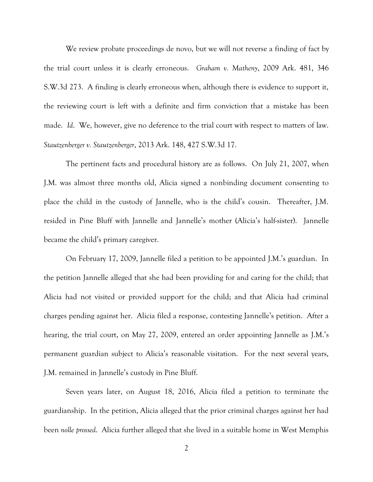We review probate proceedings de novo, but we will not reverse a finding of fact by the trial court unless it is clearly erroneous. *Graham v. Matheny*, 2009 Ark. 481, 346 S.W.3d 273. A finding is clearly erroneous when, although there is evidence to support it, the reviewing court is left with a definite and firm conviction that a mistake has been made. *Id*. We, however, give no deference to the trial court with respect to matters of law. *Stautzenberger v. Stautzenberger*, 2013 Ark. 148, 427 S.W.3d 17.

The pertinent facts and procedural history are as follows. On July 21, 2007, when J.M. was almost three months old, Alicia signed a nonbinding document consenting to place the child in the custody of Jannelle, who is the child's cousin. Thereafter, J.M. resided in Pine Bluff with Jannelle and Jannelle's mother (Alicia's half-sister). Jannelle became the child's primary caregiver.

On February 17, 2009, Jannelle filed a petition to be appointed J.M.'s guardian. In the petition Jannelle alleged that she had been providing for and caring for the child; that Alicia had not visited or provided support for the child; and that Alicia had criminal charges pending against her. Alicia filed a response, contesting Jannelle's petition. After a hearing, the trial court, on May 27, 2009, entered an order appointing Jannelle as J.M.'s permanent guardian subject to Alicia's reasonable visitation. For the next several years, J.M. remained in Jannelle's custody in Pine Bluff.

Seven years later, on August 18, 2016, Alicia filed a petition to terminate the guardianship. In the petition, Alicia alleged that the prior criminal charges against her had been *nolle prossed*. Alicia further alleged that she lived in a suitable home in West Memphis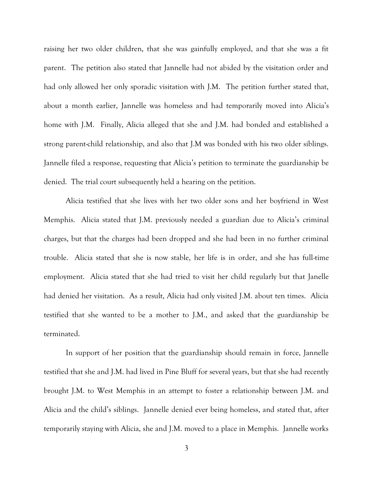raising her two older children, that she was gainfully employed, and that she was a fit parent. The petition also stated that Jannelle had not abided by the visitation order and had only allowed her only sporadic visitation with J.M. The petition further stated that, about a month earlier, Jannelle was homeless and had temporarily moved into Alicia's home with J.M. Finally, Alicia alleged that she and J.M. had bonded and established a strong parent-child relationship, and also that J.M was bonded with his two older siblings. Jannelle filed a response, requesting that Alicia's petition to terminate the guardianship be denied. The trial court subsequently held a hearing on the petition.

Alicia testified that she lives with her two older sons and her boyfriend in West Memphis. Alicia stated that J.M. previously needed a guardian due to Alicia's criminal charges, but that the charges had been dropped and she had been in no further criminal trouble. Alicia stated that she is now stable, her life is in order, and she has full-time employment. Alicia stated that she had tried to visit her child regularly but that Janelle had denied her visitation. As a result, Alicia had only visited J.M. about ten times. Alicia testified that she wanted to be a mother to J.M., and asked that the guardianship be terminated.

In support of her position that the guardianship should remain in force, Jannelle testified that she and J.M. had lived in Pine Bluff for several years, but that she had recently brought J.M. to West Memphis in an attempt to foster a relationship between J.M. and Alicia and the child's siblings. Jannelle denied ever being homeless, and stated that, after temporarily staying with Alicia, she and J.M. moved to a place in Memphis. Jannelle works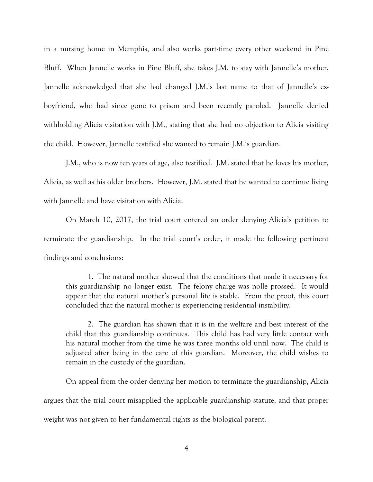in a nursing home in Memphis, and also works part-time every other weekend in Pine Bluff. When Jannelle works in Pine Bluff, she takes J.M. to stay with Jannelle's mother. Jannelle acknowledged that she had changed J.M.'s last name to that of Jannelle's exboyfriend, who had since gone to prison and been recently paroled. Jannelle denied withholding Alicia visitation with J.M., stating that she had no objection to Alicia visiting the child. However, Jannelle testified she wanted to remain J.M.'s guardian.

J.M., who is now ten years of age, also testified. J.M. stated that he loves his mother, Alicia, as well as his older brothers. However, J.M. stated that he wanted to continue living with Jannelle and have visitation with Alicia.

On March 10, 2017, the trial court entered an order denying Alicia's petition to terminate the guardianship. In the trial court's order, it made the following pertinent findings and conclusions:

1. The natural mother showed that the conditions that made it necessary for this guardianship no longer exist. The felony charge was nolle prossed. It would appear that the natural mother's personal life is stable. From the proof, this court concluded that the natural mother is experiencing residential instability.

2. The guardian has shown that it is in the welfare and best interest of the child that this guardianship continues. This child has had very little contact with his natural mother from the time he was three months old until now. The child is adjusted after being in the care of this guardian. Moreover, the child wishes to remain in the custody of the guardian.

On appeal from the order denying her motion to terminate the guardianship, Alicia argues that the trial court misapplied the applicable guardianship statute, and that proper weight was not given to her fundamental rights as the biological parent.

4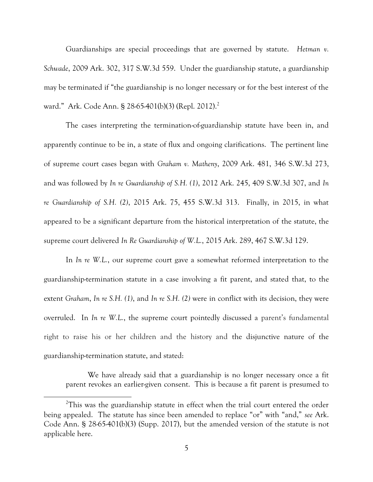Guardianships are special proceedings that are governed by statute. *Hetman v. Schwade*, 2009 Ark. 302, 317 S.W.3d 559. Under the guardianship statute, a guardianship may be terminated if "the guardianship is no longer necessary or for the best interest of the ward." Ark. Code Ann. § 28-65-401(b)(3) (Repl. 2012). 2

The cases interpreting the termination-of-guardianship statute have been in, and apparently continue to be in, a state of flux and ongoing clarifications. The pertinent line of supreme court cases began with *Graham v. Matheny*, 2009 Ark. 481, 346 S.W.3d 273, and was followed by *In re Guardianship of S.H. (1)*, 2012 Ark. 245, 409 S.W.3d 307, and *In re Guardianship of S.H. (2)*, 2015 Ark. 75, 455 S.W.3d 313. Finally, in 2015, in what appeared to be a significant departure from the historical interpretation of the statute, the supreme court delivered *In Re Guardianship of W.L.*, 2015 Ark. 289, 467 S.W.3d 129.

In *In re W.L.*, our supreme court gave a somewhat reformed interpretation to the guardianship-termination statute in a case involving a fit parent, and stated that, to the extent *Graham*, *In re S.H. (1)*, and *In re S.H. (2)* were in conflict with its decision, they were overruled. In *In re W.L.*, the supreme court pointedly discussed a parent's fundamental right to raise his or her children and the history and the disjunctive nature of the guardianship-termination statute, and stated:

We have already said that a guardianship is no longer necessary once a fit parent revokes an earlier-given consent. This is because a fit parent is presumed to

 $\overline{a}$ 

 $2$ This was the guardianship statute in effect when the trial court entered the order being appealed. The statute has since been amended to replace "or" with "and," *see* Ark. Code Ann. § 28-65-401(b)(3) (Supp. 2017), but the amended version of the statute is not applicable here.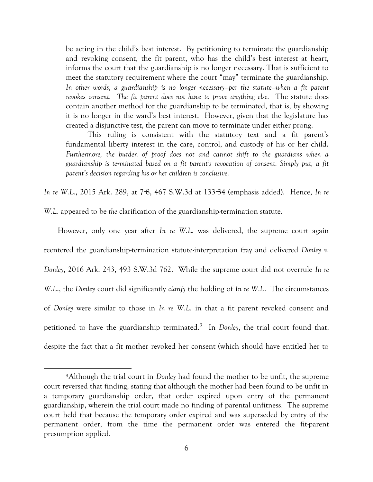be acting in the child's best interest. By petitioning to terminate the guardianship and revoking consent, the fit parent, who has the child's best interest at heart, informs the court that the guardianship is no longer necessary. That is sufficient to meet the statutory requirement where the court "may" terminate the guardianship. *In other words, a guardianship is no longer necessary—per the statute—when a fit parent revokes consent. The fit parent does not have to prove anything else.* The statute does contain another method for the guardianship to be terminated, that is, by showing it is no longer in the ward's best interest. However, given that the legislature has created a disjunctive test, the parent can move to terminate under either prong.

This ruling is consistent with the statutory text and a fit parent's fundamental liberty interest in the care, control, and custody of his or her child. *Furthermore, the burden of proof does not and cannot shift to the guardians when a guardianship is terminated based on a fit parent's revocation of consent. Simply put, a fit parent's decision regarding his or her children is conclusive.*

*In re W.L.*, 2015 Ark. 289, at 7−8, 467 S.W.3d at 133−34 (emphasis added). Hence, *In re* 

*W.L.* appeared to be *the* clarification of the guardianship-termination statute.

 However, only one year after *In re W.L.* was delivered, the supreme court again reentered the guardianship-termination statute-interpretation fray and delivered *Donley v. Donley*, 2016 Ark. 243, 493 S.W.3d 762. While the supreme court did not overrule *In re W.L*., the *Donley* court did significantly *clarify* the holding of *In re W.L*. The circumstances of *Donley* were similar to those in *In re W.L.* in that a fit parent revoked consent and petitioned to have the guardianship terminated.<sup>3</sup> In *Donley*, the trial court found that, despite the fact that a fit mother revoked her consent (which should have entitled her to

 $\overline{a}$ 

<sup>3</sup>Although the trial court in *Donley* had found the mother to be unfit, the supreme court reversed that finding, stating that although the mother had been found to be unfit in a temporary guardianship order, that order expired upon entry of the permanent guardianship, wherein the trial court made no finding of parental unfitness. The supreme court held that because the temporary order expired and was superseded by entry of the permanent order, from the time the permanent order was entered the fit-parent presumption applied.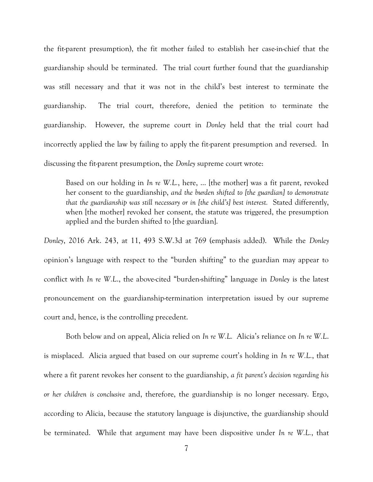the fit-parent presumption), the fit mother failed to establish her case-in-chief that the guardianship should be terminated. The trial court further found that the guardianship was still necessary and that it was not in the child's best interest to terminate the guardianship. The trial court, therefore, denied the petition to terminate the guardianship. However, the supreme court in *Donley* held that the trial court had incorrectly applied the law by failing to apply the fit-parent presumption and reversed. In discussing the fit-parent presumption, the *Donley* supreme court wrote:

Based on our holding in *In re W.L.*, here, … [the mother] was a fit parent, revoked her consent to the guardianship, *and the burden shifted to [the guardian] to demonstrate that the guardianship was still necessary or in [the child's] best interest.* Stated differently, when [the mother] revoked her consent, the statute was triggered, the presumption applied and the burden shifted to [the guardian].

*Donley*, 2016 Ark. 243, at 11, 493 S.W.3d at 769 (emphasis added). While the *Donley* opinion's language with respect to the "burden shifting" to the guardian may appear to conflict with *In re W.L*., the above-cited "burden-shifting" language in *Donley* is the latest pronouncement on the guardianship-termination interpretation issued by our supreme court and, hence, is the controlling precedent.

Both below and on appeal, Alicia relied on *In re W.L.* Alicia's reliance on *In re W.L*. is misplaced. Alicia argued that based on our supreme court's holding in *In re W.L.*, that where a fit parent revokes her consent to the guardianship, *a fit parent's decision regarding his or her children is conclusive* and, therefore, the guardianship is no longer necessary. Ergo, according to Alicia, because the statutory language is disjunctive, the guardianship should be terminated. While that argument may have been dispositive under *In re W.L.*, that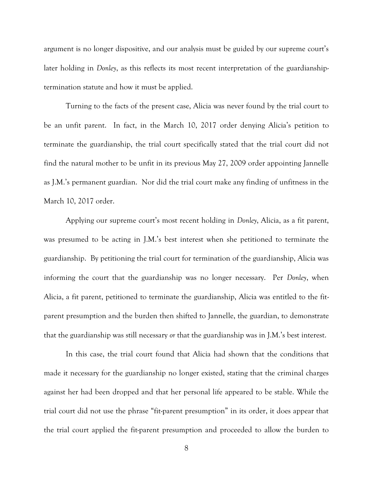argument is no longer dispositive, and our analysis must be guided by our supreme court's later holding in *Donley*, as this reflects its most recent interpretation of the guardianshiptermination statute and how it must be applied.

Turning to the facts of the present case, Alicia was never found by the trial court to be an unfit parent. In fact, in the March 10, 2017 order denying Alicia's petition to terminate the guardianship, the trial court specifically stated that the trial court did not find the natural mother to be unfit in its previous May 27, 2009 order appointing Jannelle as J.M.'s permanent guardian. Nor did the trial court make any finding of unfitness in the March 10, 2017 order.

Applying our supreme court's most recent holding in *Donley*, Alicia, as a fit parent, was presumed to be acting in J.M.'s best interest when she petitioned to terminate the guardianship. By petitioning the trial court for termination of the guardianship, Alicia was informing the court that the guardianship was no longer necessary. Per *Donley*, when Alicia, a fit parent, petitioned to terminate the guardianship, Alicia was entitled to the fitparent presumption and the burden then shifted to Jannelle, the guardian, to demonstrate that the guardianship was still necessary *or* that the guardianship was in J.M.'s best interest.

In this case, the trial court found that Alicia had shown that the conditions that made it necessary for the guardianship no longer existed, stating that the criminal charges against her had been dropped and that her personal life appeared to be stable. While the trial court did not use the phrase "fit-parent presumption" in its order, it does appear that the trial court applied the fit-parent presumption and proceeded to allow the burden to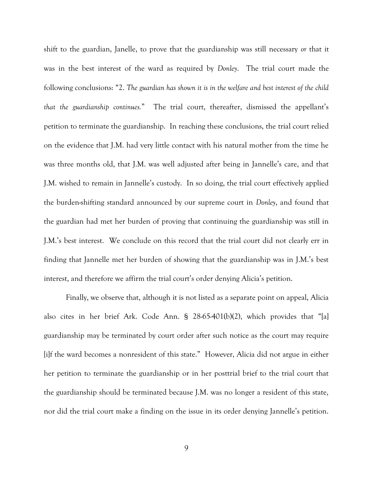shift to the guardian, Janelle, to prove that the guardianship was still necessary *or* that it was in the best interest of the ward as required by *Donley*. The trial court made the following conclusions: "2. *The guardian has shown it is in the welfare and best interest of the child that the guardianship continues.*" The trial court, thereafter, dismissed the appellant's petition to terminate the guardianship. In reaching these conclusions, the trial court relied on the evidence that J.M. had very little contact with his natural mother from the time he was three months old, that J.M. was well adjusted after being in Jannelle's care, and that J.M. wished to remain in Jannelle's custody. In so doing, the trial court effectively applied the burden-shifting standard announced by our supreme court in *Donley*, and found that the guardian had met her burden of proving that continuing the guardianship was still in J.M.'s best interest. We conclude on this record that the trial court did not clearly err in finding that Jannelle met her burden of showing that the guardianship was in J.M.'s best interest, and therefore we affirm the trial court's order denying Alicia's petition.

Finally, we observe that, although it is not listed as a separate point on appeal, Alicia also cites in her brief Ark. Code Ann. § 28-65-401(b)(2), which provides that "[a] guardianship may be terminated by court order after such notice as the court may require [i]f the ward becomes a nonresident of this state." However, Alicia did not argue in either her petition to terminate the guardianship or in her posttrial brief to the trial court that the guardianship should be terminated because J.M. was no longer a resident of this state, nor did the trial court make a finding on the issue in its order denying Jannelle's petition.